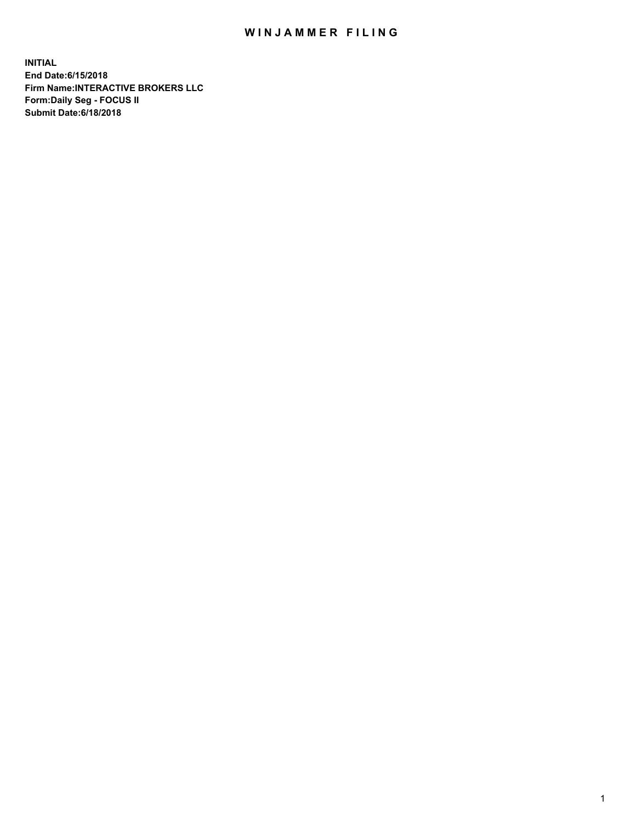## WIN JAMMER FILING

**INITIAL End Date:6/15/2018 Firm Name:INTERACTIVE BROKERS LLC Form:Daily Seg - FOCUS II Submit Date:6/18/2018**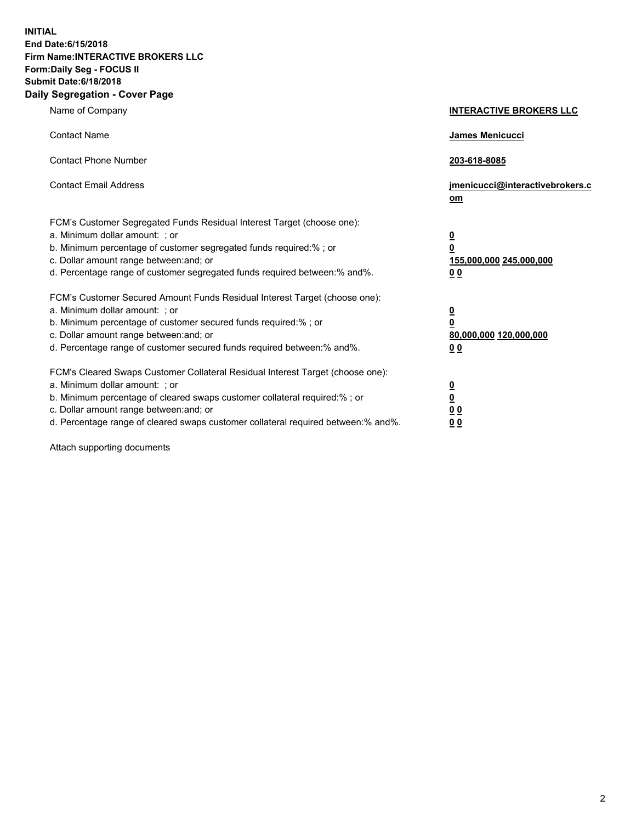**INITIAL End Date:6/15/2018 Firm Name:INTERACTIVE BROKERS LLC Form:Daily Seg - FOCUS II Submit Date:6/18/2018 Daily Segregation - Cover Page**

| Name of Company                                                                                                                                                                                                                                                                                                                | <b>INTERACTIVE BROKERS LLC</b>                                                                  |
|--------------------------------------------------------------------------------------------------------------------------------------------------------------------------------------------------------------------------------------------------------------------------------------------------------------------------------|-------------------------------------------------------------------------------------------------|
| <b>Contact Name</b>                                                                                                                                                                                                                                                                                                            | James Menicucci                                                                                 |
| <b>Contact Phone Number</b>                                                                                                                                                                                                                                                                                                    | 203-618-8085                                                                                    |
| <b>Contact Email Address</b>                                                                                                                                                                                                                                                                                                   | jmenicucci@interactivebrokers.c<br>om                                                           |
| FCM's Customer Segregated Funds Residual Interest Target (choose one):<br>a. Minimum dollar amount: ; or<br>b. Minimum percentage of customer segregated funds required:% ; or<br>c. Dollar amount range between: and; or<br>d. Percentage range of customer segregated funds required between:% and%.                         | $\overline{\mathbf{0}}$<br>$\overline{\mathbf{0}}$<br>155,000,000 245,000,000<br>0 <sub>0</sub> |
| FCM's Customer Secured Amount Funds Residual Interest Target (choose one):<br>a. Minimum dollar amount: ; or<br>b. Minimum percentage of customer secured funds required:% ; or<br>c. Dollar amount range between: and; or<br>d. Percentage range of customer secured funds required between:% and%.                           | $\overline{\mathbf{0}}$<br>0<br>80,000,000 120,000,000<br>0 <sub>0</sub>                        |
| FCM's Cleared Swaps Customer Collateral Residual Interest Target (choose one):<br>a. Minimum dollar amount: ; or<br>b. Minimum percentage of cleared swaps customer collateral required:% ; or<br>c. Dollar amount range between: and; or<br>d. Percentage range of cleared swaps customer collateral required between:% and%. | $\overline{\mathbf{0}}$<br><u>0</u><br>$\underline{0}$ $\underline{0}$<br>00                    |

Attach supporting documents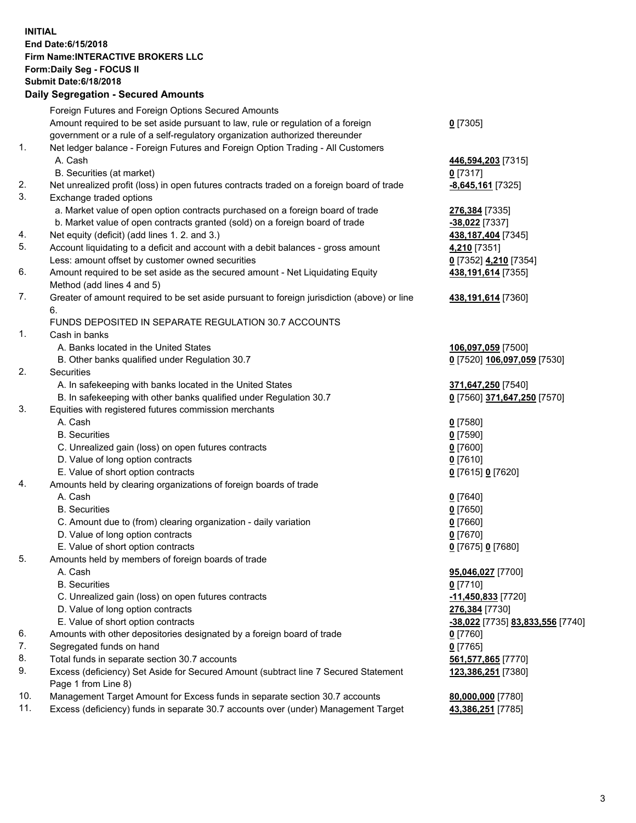## **INITIAL End Date:6/15/2018 Firm Name:INTERACTIVE BROKERS LLC Form:Daily Seg - FOCUS II Submit Date:6/18/2018 Daily Segregation - Secured Amounts**

|                | Dany Segregation - Secured Announts                                                         |                                                      |
|----------------|---------------------------------------------------------------------------------------------|------------------------------------------------------|
|                | Foreign Futures and Foreign Options Secured Amounts                                         |                                                      |
|                | Amount required to be set aside pursuant to law, rule or regulation of a foreign            | $0$ [7305]                                           |
|                | government or a rule of a self-regulatory organization authorized thereunder                |                                                      |
| $\mathbf{1}$ . | Net ledger balance - Foreign Futures and Foreign Option Trading - All Customers             |                                                      |
|                | A. Cash                                                                                     | 446,594,203 [7315]                                   |
|                | B. Securities (at market)                                                                   | $0$ [7317]                                           |
| 2.             | Net unrealized profit (loss) in open futures contracts traded on a foreign board of trade   | -8,645,161 <sup>[7325]</sup>                         |
| 3.             | Exchange traded options                                                                     |                                                      |
|                | a. Market value of open option contracts purchased on a foreign board of trade              | 276,384 [7335]                                       |
|                | b. Market value of open contracts granted (sold) on a foreign board of trade                | $-38,022$ [7337]                                     |
| 4.             | Net equity (deficit) (add lines 1. 2. and 3.)                                               | 438,187,404 [7345]                                   |
| 5.             | Account liquidating to a deficit and account with a debit balances - gross amount           | 4,210 [7351]                                         |
|                | Less: amount offset by customer owned securities                                            | 0 [7352] 4,210 [7354]                                |
| 6.             | Amount required to be set aside as the secured amount - Net Liquidating Equity              | 438, 191, 614 [7355]                                 |
|                | Method (add lines 4 and 5)                                                                  |                                                      |
| 7.             | Greater of amount required to be set aside pursuant to foreign jurisdiction (above) or line | 438,191,614 [7360]                                   |
|                | 6.                                                                                          |                                                      |
|                | FUNDS DEPOSITED IN SEPARATE REGULATION 30.7 ACCOUNTS                                        |                                                      |
| 1.             | Cash in banks                                                                               |                                                      |
|                | A. Banks located in the United States                                                       | 106,097,059 [7500]                                   |
|                | B. Other banks qualified under Regulation 30.7                                              | 0 [7520] 106,097,059 [7530]                          |
| 2.             | <b>Securities</b>                                                                           |                                                      |
|                | A. In safekeeping with banks located in the United States                                   | 371,647,250 [7540]                                   |
|                | B. In safekeeping with other banks qualified under Regulation 30.7                          | 0 [7560] 371,647,250 [7570]                          |
| 3.             | Equities with registered futures commission merchants                                       |                                                      |
|                | A. Cash<br><b>B.</b> Securities                                                             | $0$ [7580]                                           |
|                |                                                                                             | $0$ [7590]                                           |
|                | C. Unrealized gain (loss) on open futures contracts                                         | $0$ [7600]                                           |
|                | D. Value of long option contracts<br>E. Value of short option contracts                     | $0$ [7610]                                           |
| 4.             | Amounts held by clearing organizations of foreign boards of trade                           | 0 [7615] 0 [7620]                                    |
|                | A. Cash                                                                                     | $0$ [7640]                                           |
|                | <b>B.</b> Securities                                                                        | $0$ [7650]                                           |
|                | C. Amount due to (from) clearing organization - daily variation                             | $0$ [7660]                                           |
|                | D. Value of long option contracts                                                           | $0$ [7670]                                           |
|                | E. Value of short option contracts                                                          | 0 [7675] 0 [7680]                                    |
| 5.             | Amounts held by members of foreign boards of trade                                          |                                                      |
|                | A. Cash                                                                                     | 95,046,027 [7700]                                    |
|                | <b>B.</b> Securities                                                                        | $0$ [7710]                                           |
|                | C. Unrealized gain (loss) on open futures contracts                                         | -11,450,833 [7720]                                   |
|                | D. Value of long option contracts                                                           | 276,384 [7730]                                       |
|                | E. Value of short option contracts                                                          | <mark>-38,022</mark> [7735] <u>83,833,556</u> [7740] |
| 6.             | Amounts with other depositories designated by a foreign board of trade                      | 0 [7760]                                             |
| 7.             | Segregated funds on hand                                                                    | $0$ [7765]                                           |
| 8.             | Total funds in separate section 30.7 accounts                                               | 561,577,865 [7770]                                   |
| 9.             | Excess (deficiency) Set Aside for Secured Amount (subtract line 7 Secured Statement         | 123,386,251 [7380]                                   |
|                | Page 1 from Line 8)                                                                         |                                                      |
| 10.            | Management Target Amount for Excess funds in separate section 30.7 accounts                 | 80,000,000 [7780]                                    |
| 11.            | Excess (deficiency) funds in separate 30.7 accounts over (under) Management Target          | 43,386,251 [7785]                                    |
|                |                                                                                             |                                                      |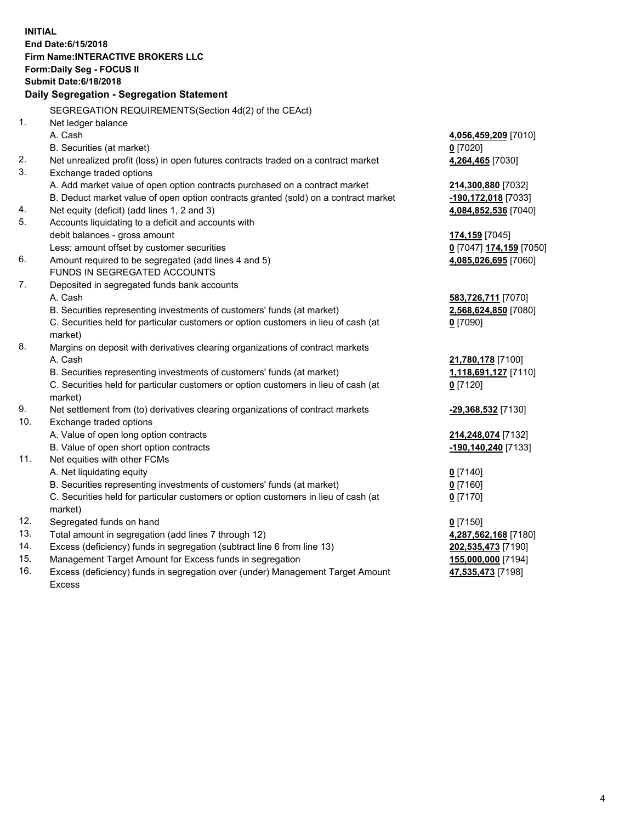**INITIAL End Date:6/15/2018 Firm Name:INTERACTIVE BROKERS LLC Form:Daily Seg - FOCUS II Submit Date:6/18/2018 Daily Segregation - Segregation Statement** SEGREGATION REQUIREMENTS(Section 4d(2) of the CEAct) 1. Net ledger balance A. Cash **4,056,459,209** [7010] B. Securities (at market) **0** [7020] 2. Net unrealized profit (loss) in open futures contracts traded on a contract market **4,264,465** [7030] 3. Exchange traded options A. Add market value of open option contracts purchased on a contract market **214,300,880** [7032] B. Deduct market value of open option contracts granted (sold) on a contract market **-190,172,018** [7033] 4. Net equity (deficit) (add lines 1, 2 and 3) **4,084,852,536** [7040] 5. Accounts liquidating to a deficit and accounts with debit balances - gross amount **174,159** [7045] Less: amount offset by customer securities **0** [7047] **174,159** [7050] 6. Amount required to be segregated (add lines 4 and 5) **4,085,026,695** [7060] FUNDS IN SEGREGATED ACCOUNTS 7. Deposited in segregated funds bank accounts A. Cash **583,726,711** [7070] B. Securities representing investments of customers' funds (at market) **2,568,624,850** [7080] C. Securities held for particular customers or option customers in lieu of cash (at market) **0** [7090] 8. Margins on deposit with derivatives clearing organizations of contract markets A. Cash **21,780,178** [7100] B. Securities representing investments of customers' funds (at market) **1,118,691,127** [7110] C. Securities held for particular customers or option customers in lieu of cash (at market) **0** [7120] 9. Net settlement from (to) derivatives clearing organizations of contract markets **-29,368,532** [7130] 10. Exchange traded options A. Value of open long option contracts **214,248,074** [7132] B. Value of open short option contracts **-190,140,240** [7133] 11. Net equities with other FCMs A. Net liquidating equity **0** [7140] B. Securities representing investments of customers' funds (at market) **0** [7160] C. Securities held for particular customers or option customers in lieu of cash (at market) **0** [7170] 12. Segregated funds on hand **0** [7150] 13. Total amount in segregation (add lines 7 through 12) **4,287,562,168** [7180] 14. Excess (deficiency) funds in segregation (subtract line 6 from line 13) **202,535,473** [7190] 15. Management Target Amount for Excess funds in segregation **155,000,000** [7194]

16. Excess (deficiency) funds in segregation over (under) Management Target Amount Excess

**47,535,473** [7198]